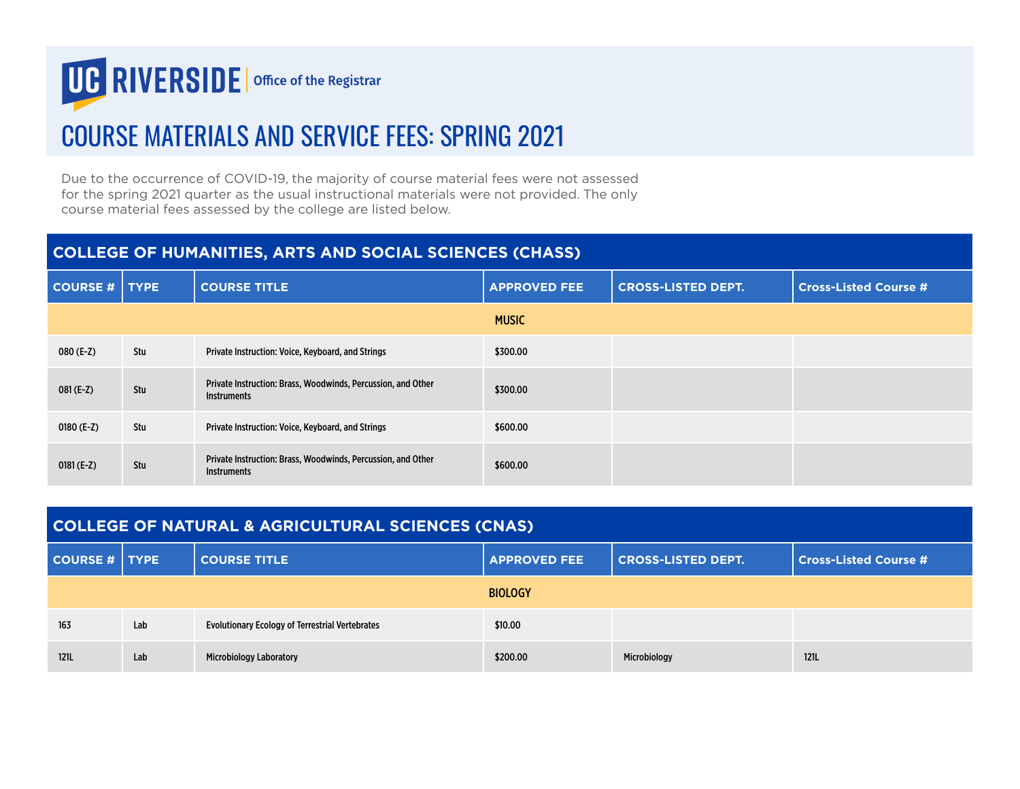

## COURSE MATERIALS AND SERVICE FEES: SPRING 2021

Due to the occurrence of COVID-19, the majority of course material fees were not assessed for the spring 2021 quarter as the usual instructional materials were not provided. The only course material fees assessed by the college are listed below.

## **COLLEGE OF HUMANITIES, ARTS AND SOCIAL SCIENCES (CHASS)**

| COURSE #   TYPE |     | <b>COURSE TITLE</b>                                                                | <b>APPROVED FEE</b> | <b>CROSS-LISTED DEPT.</b> | <b>Cross-Listed Course #</b> |
|-----------------|-----|------------------------------------------------------------------------------------|---------------------|---------------------------|------------------------------|
|                 |     |                                                                                    | <b>MUSIC</b>        |                           |                              |
| 080 (E-Z)       | Stu | Private Instruction: Voice, Keyboard, and Strings                                  | \$300.00            |                           |                              |
| 081 (E-Z)       | Stu | Private Instruction: Brass, Woodwinds, Percussion, and Other<br><b>Instruments</b> | \$300.00            |                           |                              |
| 0180 $(E-Z)$    | Stu | Private Instruction: Voice, Keyboard, and Strings                                  | \$600.00            |                           |                              |
| $0181 (E-Z)$    | Stu | Private Instruction: Brass, Woodwinds, Percussion, and Other<br><b>Instruments</b> | \$600.00            |                           |                              |

| <b>COLLEGE OF NATURAL &amp; AGRICULTURAL SCIENCES (CNAS)</b> |     |                                                        |                     |                           |                              |
|--------------------------------------------------------------|-----|--------------------------------------------------------|---------------------|---------------------------|------------------------------|
| COURSE #   TYPE                                              |     | <b>COURSE TITLE</b>                                    | <b>APPROVED FEE</b> | <b>CROSS-LISTED DEPT.</b> | <b>Cross-Listed Course #</b> |
| <b>BIOLOGY</b>                                               |     |                                                        |                     |                           |                              |
| 163                                                          | Lab | <b>Evolutionary Ecology of Terrestrial Vertebrates</b> | \$10.00             |                           |                              |
| <b>121L</b>                                                  | Lab | <b>Microbiology Laboratory</b>                         | \$200.00            | Microbiology              | <b>121L</b>                  |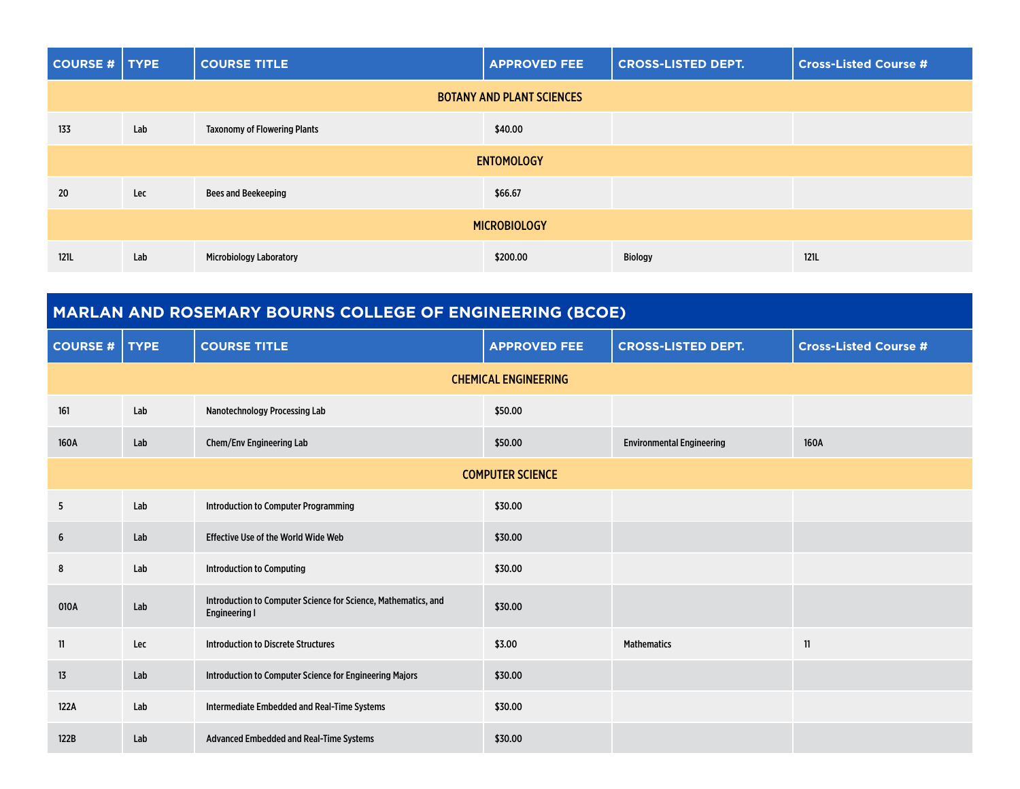| COURSE #   TYPE     |                                  | <b>COURSE TITLE</b>                 | <b>APPROVED FEE</b> | <b>CROSS-LISTED DEPT.</b> | <b>Cross-Listed Course #</b> |  |  |
|---------------------|----------------------------------|-------------------------------------|---------------------|---------------------------|------------------------------|--|--|
|                     | <b>BOTANY AND PLANT SCIENCES</b> |                                     |                     |                           |                              |  |  |
| 133                 | Lab                              | <b>Taxonomy of Flowering Plants</b> | \$40.00             |                           |                              |  |  |
|                     | <b>ENTOMOLOGY</b>                |                                     |                     |                           |                              |  |  |
| 20                  | Lec                              | <b>Bees and Beekeeping</b>          | \$66.67             |                           |                              |  |  |
| <b>MICROBIOLOGY</b> |                                  |                                     |                     |                           |                              |  |  |
| 121L                | Lab                              | <b>Microbiology Laboratory</b>      | \$200.00            | <b>Biology</b>            | 121L                         |  |  |

| MARLAN AND ROSEMARY BOURNS COLLEGE OF ENGINEERING (BCOE) |             |                                                                                        |                     |                                  |                              |  |
|----------------------------------------------------------|-------------|----------------------------------------------------------------------------------------|---------------------|----------------------------------|------------------------------|--|
| <b>COURSE#</b>                                           | <b>TYPE</b> | <b>COURSE TITLE</b>                                                                    | <b>APPROVED FEE</b> | <b>CROSS-LISTED DEPT.</b>        | <b>Cross-Listed Course #</b> |  |
| <b>CHEMICAL ENGINEERING</b>                              |             |                                                                                        |                     |                                  |                              |  |
| 161                                                      | Lab         | Nanotechnology Processing Lab                                                          | \$50.00             |                                  |                              |  |
| 160A                                                     | Lab         | Chem/Env Engineering Lab                                                               | \$50.00             | <b>Environmental Engineering</b> | 160A                         |  |
| <b>COMPUTER SCIENCE</b>                                  |             |                                                                                        |                     |                                  |                              |  |
| 5                                                        | Lab         | <b>Introduction to Computer Programming</b>                                            | \$30.00             |                                  |                              |  |
| 6                                                        | Lab         | <b>Effective Use of the World Wide Web</b>                                             | \$30.00             |                                  |                              |  |
| 8                                                        | Lab         | <b>Introduction to Computing</b>                                                       | \$30.00             |                                  |                              |  |
| 010A                                                     | Lab         | Introduction to Computer Science for Science, Mathematics, and<br><b>Engineering I</b> | \$30.00             |                                  |                              |  |
| 11                                                       | Lec         | Introduction to Discrete Structures                                                    | \$3.00              | <b>Mathematics</b>               | 11                           |  |
| 13                                                       | Lab         | Introduction to Computer Science for Engineering Majors                                | \$30.00             |                                  |                              |  |
| 122A                                                     | Lab         | Intermediate Embedded and Real-Time Systems                                            | \$30.00             |                                  |                              |  |
| 122B                                                     | Lab         | <b>Advanced Embedded and Real-Time Systems</b>                                         | \$30.00             |                                  |                              |  |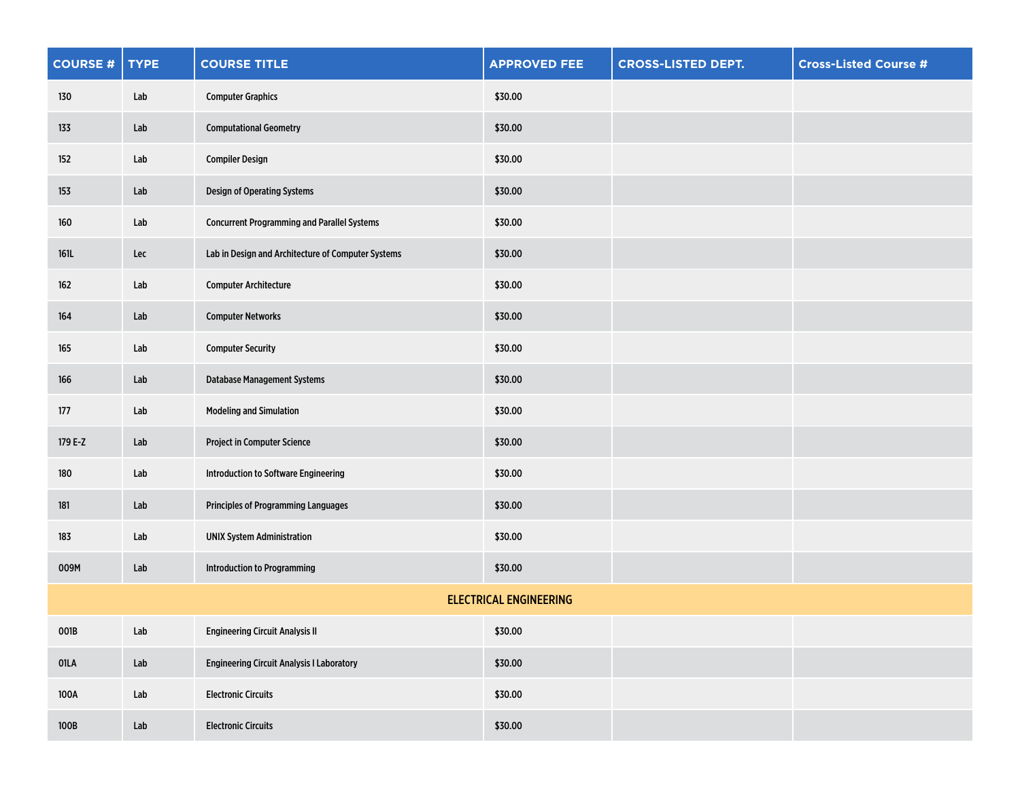| <b>COURSE#</b>                | <b>TYPE</b> | <b>COURSE TITLE</b>                                | <b>APPROVED FEE</b> | <b>CROSS-LISTED DEPT.</b> | <b>Cross-Listed Course #</b> |  |
|-------------------------------|-------------|----------------------------------------------------|---------------------|---------------------------|------------------------------|--|
| 130                           | Lab         | <b>Computer Graphics</b>                           | \$30.00             |                           |                              |  |
| 133                           | Lab         | <b>Computational Geometry</b>                      | \$30.00             |                           |                              |  |
| 152                           | Lab         | <b>Compiler Design</b>                             | \$30.00             |                           |                              |  |
| 153                           | Lab         | Design of Operating Systems                        | \$30.00             |                           |                              |  |
| 160                           | Lab         | <b>Concurrent Programming and Parallel Systems</b> | \$30.00             |                           |                              |  |
| 161L                          | Lec         | Lab in Design and Architecture of Computer Systems | \$30.00             |                           |                              |  |
| 162                           | Lab         | <b>Computer Architecture</b>                       | \$30.00             |                           |                              |  |
| 164                           | Lab         | <b>Computer Networks</b>                           | \$30.00             |                           |                              |  |
| $165\,$                       | Lab         | <b>Computer Security</b>                           | \$30.00             |                           |                              |  |
| 166                           | Lab         | <b>Database Management Systems</b>                 | \$30.00             |                           |                              |  |
| 177                           | Lab         | <b>Modeling and Simulation</b>                     | \$30.00             |                           |                              |  |
| 179 E-Z                       | Lab         | <b>Project in Computer Science</b>                 | \$30.00             |                           |                              |  |
| 180                           | Lab         | Introduction to Software Engineering               | \$30.00             |                           |                              |  |
| 181                           | Lab         | <b>Principles of Programming Languages</b>         | \$30.00             |                           |                              |  |
| 183                           | Lab         | <b>UNIX System Administration</b>                  | \$30.00             |                           |                              |  |
| 009M                          | Lab         | <b>Introduction to Programming</b>                 | \$30.00             |                           |                              |  |
| <b>ELECTRICAL ENGINEERING</b> |             |                                                    |                     |                           |                              |  |
| 001B                          | Lab         | <b>Engineering Circuit Analysis II</b>             | \$30.00             |                           |                              |  |
| 01LA                          | Lab         | <b>Engineering Circuit Analysis I Laboratory</b>   | \$30.00             |                           |                              |  |
| 100A                          | Lab         | <b>Electronic Circuits</b>                         | \$30.00             |                           |                              |  |
| 100B                          | Lab         | <b>Electronic Circuits</b>                         | \$30.00             |                           |                              |  |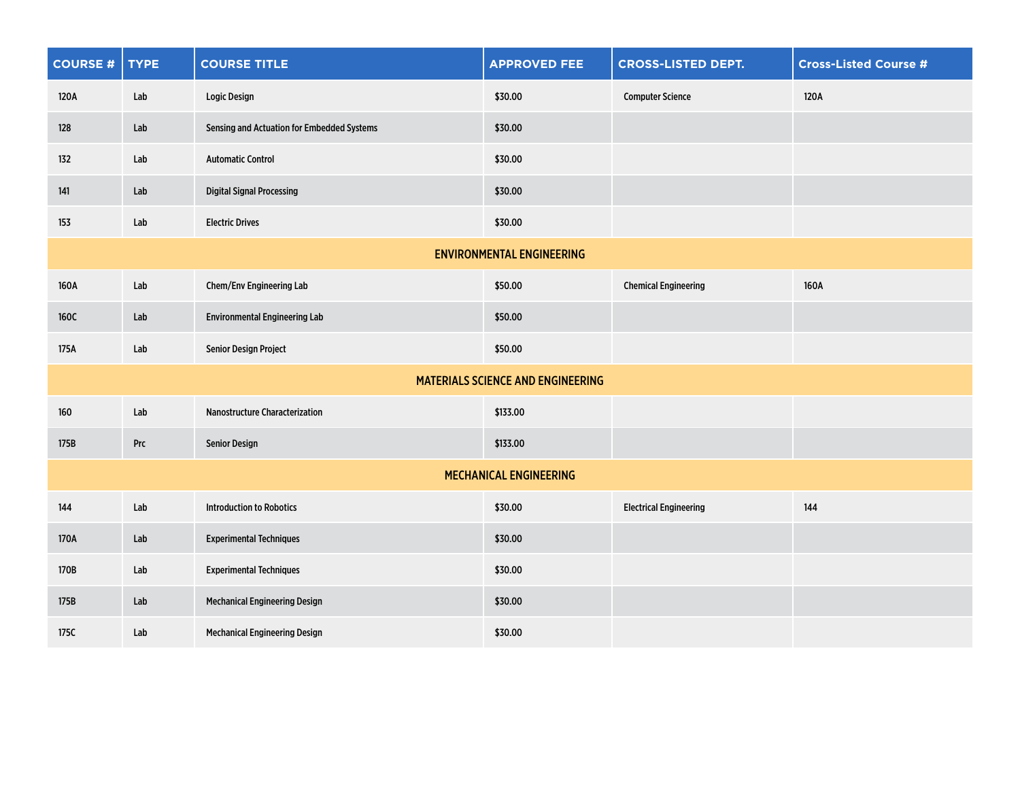| <b>COURSE#</b> | <b>TYPE</b> | <b>COURSE TITLE</b>                        | <b>APPROVED FEE</b>               | <b>CROSS-LISTED DEPT.</b>     | <b>Cross-Listed Course #</b> |
|----------------|-------------|--------------------------------------------|-----------------------------------|-------------------------------|------------------------------|
| 120A           | Lab         | Logic Design                               | \$30.00                           | <b>Computer Science</b>       | 120A                         |
| 128            | Lab         | Sensing and Actuation for Embedded Systems | \$30.00                           |                               |                              |
| 132            | Lab         | <b>Automatic Control</b>                   | \$30.00                           |                               |                              |
| 141            | Lab         | <b>Digital Signal Processing</b>           | \$30.00                           |                               |                              |
| 153            | Lab         | <b>Electric Drives</b>                     | \$30.00                           |                               |                              |
|                |             |                                            | <b>ENVIRONMENTAL ENGINEERING</b>  |                               |                              |
| 160A           | Lab         | Chem/Env Engineering Lab                   | \$50.00                           | <b>Chemical Engineering</b>   | 160A                         |
| 160C           | Lab         | <b>Environmental Engineering Lab</b>       | \$50.00                           |                               |                              |
| 175A           | Lab         | Senior Design Project                      | \$50.00                           |                               |                              |
|                |             |                                            | MATERIALS SCIENCE AND ENGINEERING |                               |                              |
| 160            | Lab         | <b>Nanostructure Characterization</b>      | \$133.00                          |                               |                              |
| 175B           | Prc         | <b>Senior Design</b>                       | \$133.00                          |                               |                              |
|                |             |                                            | MECHANICAL ENGINEERING            |                               |                              |
| 144            | Lab         | <b>Introduction to Robotics</b>            | \$30.00                           | <b>Electrical Engineering</b> | 144                          |
| 170A           | Lab         | <b>Experimental Techniques</b>             | \$30.00                           |                               |                              |
| 170B           | Lab         | <b>Experimental Techniques</b>             | \$30.00                           |                               |                              |
| 175B           | Lab         | <b>Mechanical Engineering Design</b>       | \$30.00                           |                               |                              |
| 175C           | Lab         | <b>Mechanical Engineering Design</b>       | \$30.00                           |                               |                              |